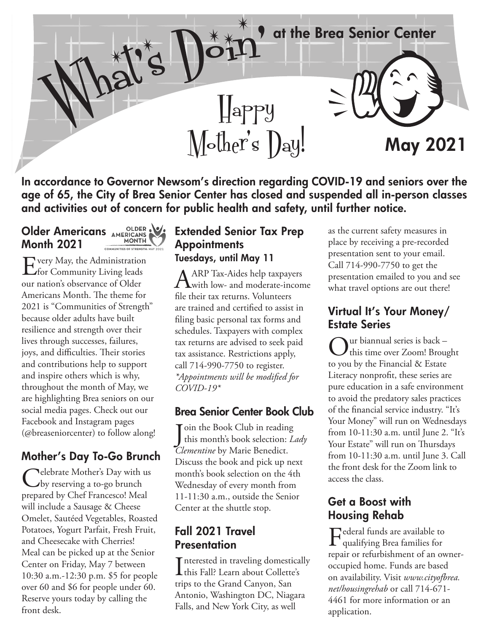at the Brea Senior Center



 $M$ other's  $Day$ ! May 2021

In accordance to Governor Newsom's direction regarding COVID-19 and seniors over the age of 65, the City of Brea Senior Center has closed and suspended all in-person classes and activities out of concern for public health and safety, until further notice.

Happy

Older Americans AMERICANS Month 2021 COMMINITIES OF

Every May, the Administration<br>
for Community Living leads our nation's observance of Older Americans Month. The theme for 2021 is "Communities of Strength" because older adults have built resilience and strength over their lives through successes, failures, joys, and difficulties. Their stories and contributions help to support and inspire others which is why, throughout the month of May, we are highlighting Brea seniors on our social media pages. Check out our Facebook and Instagram pages (@breaseniorcenter) to follow along!

## Mother's Day To-Go Brunch

Celebrate Mother's Day with us<br>
by reserving a to-go brunch<br>
LL GL GE prepared by Chef Francesco! Meal will include a Sausage & Cheese Omelet, Sautéed Vegetables, Roasted Potatoes, Yogurt Parfait, Fresh Fruit, and Cheesecake with Cherries! Meal can be picked up at the Senior Center on Friday, May 7 between 10:30 a.m.-12:30 p.m. \$5 for people over 60 and \$6 for people under 60. Reserve yours today by calling the front desk.

#### Extended Senior Tax Prep **Appointments** Tuesdays, until May 11

AARP Tax-Aides help taxpayers with low- and moderate-income file their tax returns. Volunteers are trained and certified to assist in filing basic personal tax forms and schedules. Taxpayers with complex tax returns are advised to seek paid tax assistance. Restrictions apply, call 714-990-7750 to register. *\*Appointments will be modified for COVID-19\**

#### Brea Senior Center Book Club

Join the Book Club in reading<br>this month's book selection:  $L_1$ this month's book selection: *Lady Clementine* by Marie Benedict. Discuss the book and pick up next month's book selection on the 4th Wednesday of every month from 11-11:30 a.m., outside the Senior Center at the shuttle stop.

# Fall 2021 Travel **Presentation**

Interested in traveling domestically<br>this Fall? Learn about Collette's **L** this Fall? Learn about Collette's trips to the Grand Canyon, San Antonio, Washington DC, Niagara Falls, and New York City, as well

as the current safety measures in place by receiving a pre-recorded presentation sent to your email. Call 714-990-7750 to get the presentation emailed to you and see what travel options are out there!

#### Virtual It's Your Money/ Estate Series

Our biannual series is back –<br>this time over Zoom! Brought to you by the Financial & Estate Literacy nonprofit, these series are pure education in a safe environment to avoid the predatory sales practices of the financial service industry. "It's Your Money" will run on Wednesdays from 10-11:30 a.m. until June 2. "It's Your Estate" will run on Thursdays from 10-11:30 a.m. until June 3. Call the front desk for the Zoom link to access the class.

## Get a Boost with Housing Rehab

Federal funds are available to qualifying Brea families for repair or refurbishment of an owneroccupied home. Funds are based on availability. Visit *www.cityofbrea. net/housingrehab* or call 714-671- 4461 for more information or an application.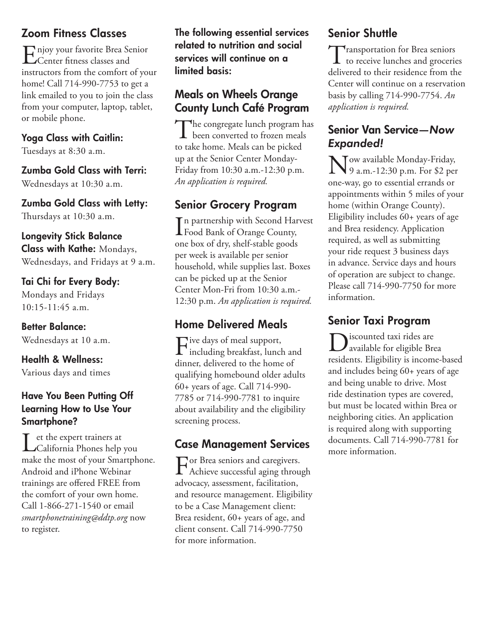## Zoom Fitness Classes

Enjoy your favorite Brea Senior<br>Center fitness classes and instructors from the comfort of your home! Call 714-990-7753 to get a link emailed to you to join the class from your computer, laptop, tablet, or mobile phone.

#### Yoga Class with Caitlin:

Tuesdays at 8:30 a.m.

#### Zumba Gold Class with Terri:

Wednesdays at 10:30 a.m.

#### Zumba Gold Class with Letty:

Thursdays at 10:30 a.m.

#### Longevity Stick Balance

Class with Kathe: Mondays, Wednesdays, and Fridays at 9 a.m.

#### Tai Chi for Every Body:

Mondays and Fridays 10:15-11:45 a.m.

#### Better Balance:

Wednesdays at 10 a.m.

# Health & Wellness:

Various days and times

#### Have You Been Putting Off Learning How to Use Your Smartphone?

Let the expert trainers at<br>
California Phones help you make the most of your Smartphone. Android and iPhone Webinar trainings are offered FREE from the comfort of your own home. Call 1-866-271-1540 or email *smartphonetraining@ddtp.org* now to register.

The following essential services related to nutrition and social services will continue on a limited basis:

#### Meals on Wheels Orange County Lunch Café Program

The congregate lunch program has  $\perp$  been converted to frozen meals to take home. Meals can be picked up at the Senior Center Monday-Friday from 10:30 a.m.-12:30 p.m. *An application is required.*

# Senior Grocery Program

In partnership with Second Har<br>Food Bank of Orange County, n partnership with Second Harvest one box of dry, shelf-stable goods per week is available per senior household, while supplies last. Boxes can be picked up at the Senior Center Mon-Fri from 10:30 a.m.- 12:30 p.m. *An application is required.*

## Home Delivered Meals

Five days of meal support,<br>including breakfast, lunch and dinner, delivered to the home of qualifying homebound older adults 60+ years of age. Call 714-990- 7785 or 714-990-7781 to inquire about availability and the eligibility screening process.

## Case Management Services

 $\Gamma$  or Brea seniors and caregivers.  $\Gamma$  Achieve successful aging through advocacy, assessment, facilitation, and resource management. Eligibility to be a Case Management client: Brea resident, 60+ years of age, and client consent. Call 714-990-7750 for more information.

## Senior Shuttle

Transportation for Brea seniors<br>to receive lunches and groceries delivered to their residence from the Center will continue on a reservation basis by calling 714-990-7754. *An application is required.*

#### Senior Van Service—*Now Expanded!*

Now available Monday-Friday, 9 a.m.-12:30 p.m. For \$2 per one-way, go to essential errands or appointments within 5 miles of your home (within Orange County). Eligibility includes 60+ years of age and Brea residency. Application required, as well as submitting your ride request 3 business days in advance. Service days and hours of operation are subject to change. Please call 714-990-7750 for more information.

## Senior Taxi Program

Discounted taxi rides are available for eligible Brea residents. Eligibility is income-based and includes being 60+ years of age and being unable to drive. Most ride destination types are covered, but must be located within Brea or neighboring cities. An application is required along with supporting documents. Call 714-990-7781 for more information.